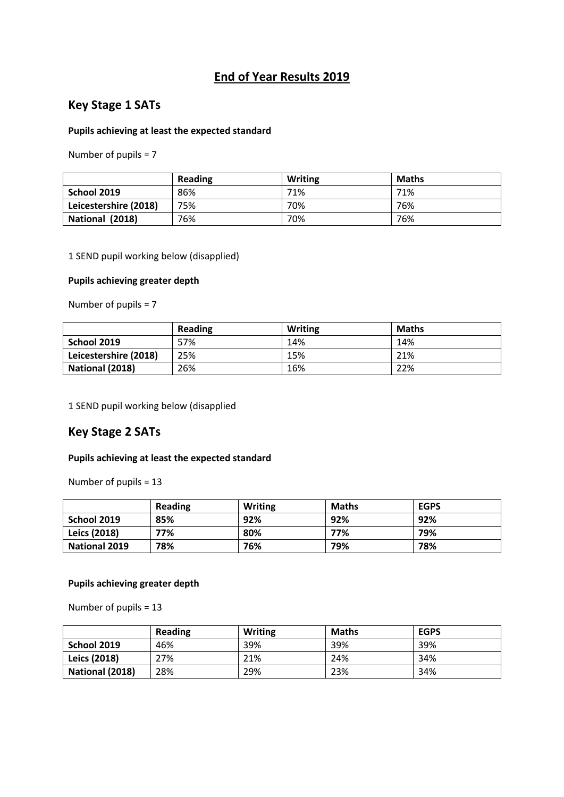## **End of Year Results 2019**

### **Key Stage 1 SATs**

### **Pupils achieving at least the expected standard**

Number of pupils = 7

|                       | <b>Reading</b> | <b>Writing</b> | <b>Maths</b> |
|-----------------------|----------------|----------------|--------------|
| School 2019           | 86%            | 71%            | 71%          |
| Leicestershire (2018) | 75%            | 70%            | 76%          |
| National (2018)       | 76%            | 70%            | 76%          |

1 SEND pupil working below (disapplied)

### **Pupils achieving greater depth**

Number of pupils = 7

|                       | <b>Reading</b> | <b>Writing</b> | <b>Maths</b> |
|-----------------------|----------------|----------------|--------------|
| School 2019           | 57%            | 14%            | 14%          |
| Leicestershire (2018) | 25%            | 15%            | 21%          |
| National (2018)       | 26%            | 16%            | 22%          |

1 SEND pupil working below (disapplied

### **Key Stage 2 SATs**

#### **Pupils achieving at least the expected standard**

Number of pupils = 13

|                      | Reading | Writing | <b>Maths</b> | <b>EGPS</b> |
|----------------------|---------|---------|--------------|-------------|
| School 2019          | 85%     | 92%     | 92%          | 92%         |
| <b>Leics (2018)</b>  | 77%     | 80%     | 77%          | 79%         |
| <b>National 2019</b> | 78%     | 76%     | 79%          | 78%         |

#### **Pupils achieving greater depth**

Number of pupils = 13

|                     | Reading | <b>Writing</b> | <b>Maths</b> | <b>EGPS</b> |
|---------------------|---------|----------------|--------------|-------------|
| School 2019         | 46%     | 39%            | 39%          | 39%         |
| <b>Leics (2018)</b> | 27%     | 21%            | 24%          | 34%         |
| National (2018)     | 28%     | 29%            | 23%          | 34%         |